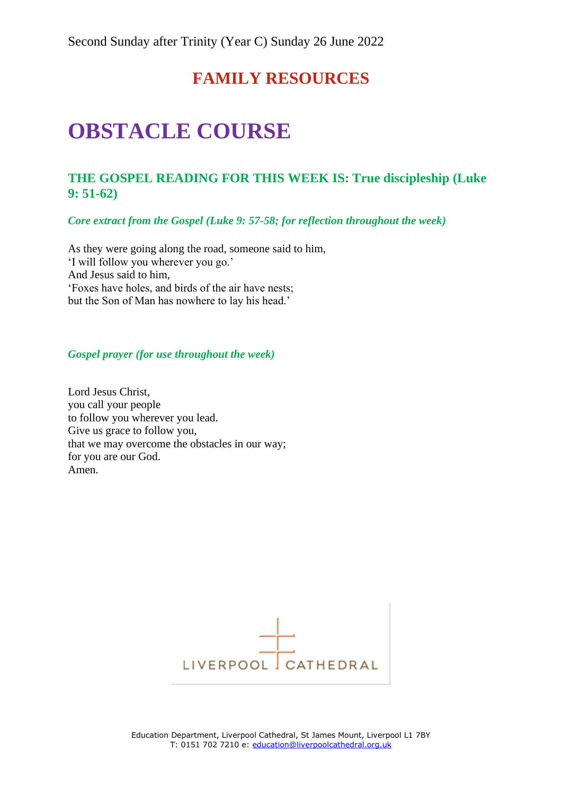# **FAMILY RESOURCES**

# **OBSTACLE COURSE**

# **THE GOSPEL READING FOR THIS WEEK IS: True discipleship (Luke 9: 51-62)**

*Core extract from the Gospel (Luke 9: 57-58; for reflection throughout the week)*

As they were going along the road, someone said to him, 'I will follow you wherever you go.' And Jesus said to him, 'Foxes have holes, and birds of the air have nests; but the Son of Man has nowhere to lay his head.'

#### *Gospel prayer (for use throughout the week)*

Lord Jesus Christ, you call your people to follow you wherever you lead. Give us grace to follow you, that we may overcome the obstacles in our way; for you are our God. Amen.

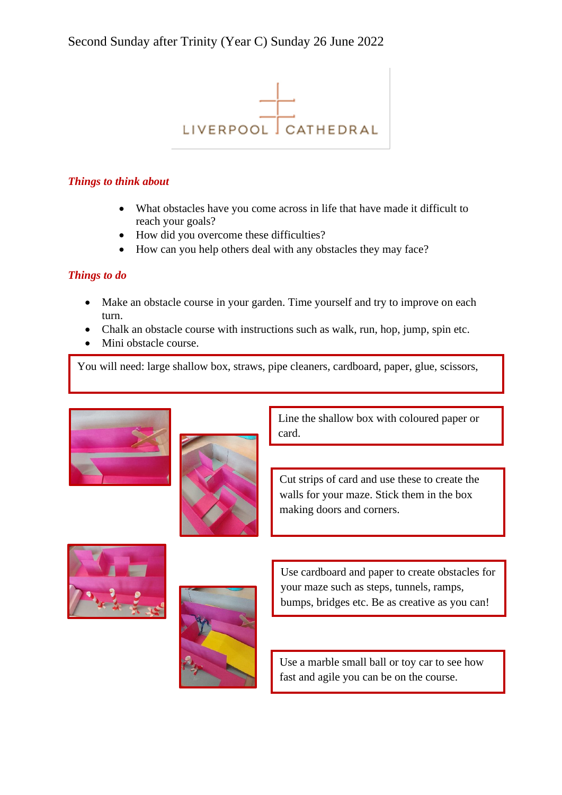

### *Things to think about*

- What obstacles have you come across in life that have made it difficult to reach your goals?
- How did you overcome these difficulties?
- How can you help others deal with any obstacles they may face?

## *Things to do*

- Make an obstacle course in your garden. Time yourself and try to improve on each turn.
- Chalk an obstacle course with instructions such as walk, run, hop, jump, spin etc.
- Mini obstacle course.

You will need: large shallow box, straws, pipe cleaners, cardboard, paper, glue, scissors,





Line the shallow box with coloured paper or card.

Cut strips of card and use these to create the walls for your maze. Stick them in the box making doors and corners.





Use cardboard and paper to create obstacles for your maze such as steps, tunnels, ramps, bumps, bridges etc. Be as creative as you can!

Use a marble small ball or toy car to see how fast and agile you can be on the course.